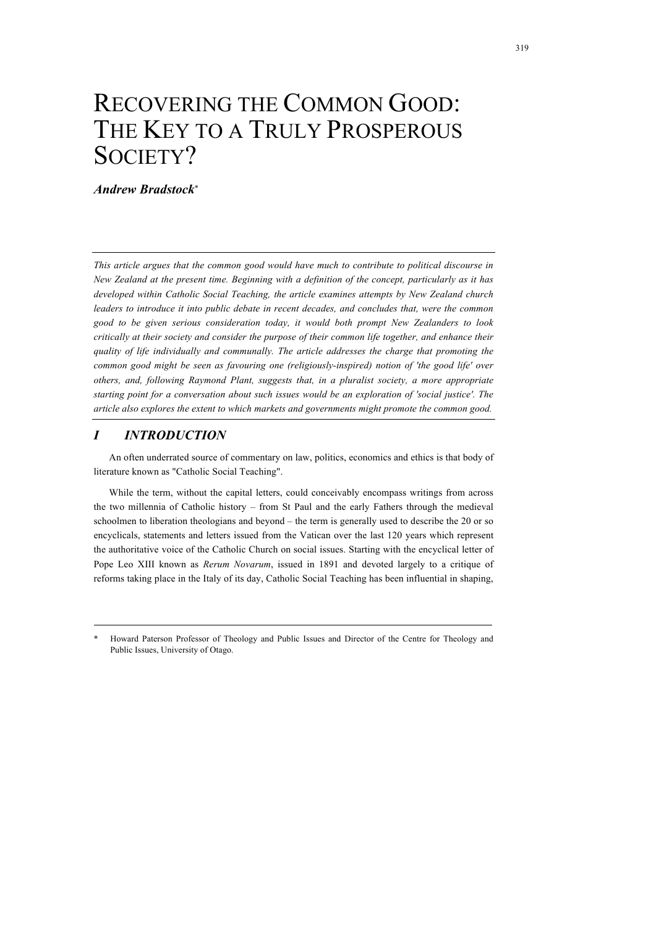# RECOVERING THE COMMON GOOD: THE KEY TO A TRULY PROSPEROUS SOCIETY?

## *Andrew Bradstock*\*

*This article argues that the common good would have much to contribute to political discourse in New Zealand at the present time. Beginning with a definition of the concept, particularly as it has developed within Catholic Social Teaching, the article examines attempts by New Zealand church leaders to introduce it into public debate in recent decades, and concludes that, were the common good to be given serious consideration today, it would both prompt New Zealanders to look critically at their society and consider the purpose of their common life together, and enhance their quality of life individually and communally. The article addresses the charge that promoting the common good might be seen as favouring one (religiously-inspired) notion of 'the good life' over others, and, following Raymond Plant, suggests that, in a pluralist society, a more appropriate starting point for a conversation about such issues would be an exploration of 'social justice'. The article also explores the extent to which markets and governments might promote the common good.*

#### *I INTRODUCTION*

An often underrated source of commentary on law, politics, economics and ethics is that body of literature known as "Catholic Social Teaching".

While the term, without the capital letters, could conceivably encompass writings from across the two millennia of Catholic history – from St Paul and the early Fathers through the medieval schoolmen to liberation theologians and beyond – the term is generally used to describe the 20 or so encyclicals, statements and letters issued from the Vatican over the last 120 years which represent the authoritative voice of the Catholic Church on social issues. Starting with the encyclical letter of Pope Leo XIII known as *Rerum Novarum*, issued in 1891 and devoted largely to a critique of reforms taking place in the Italy of its day, Catholic Social Teaching has been influential in shaping,

<sup>\*</sup> Howard Paterson Professor of Theology and Public Issues and Director of the Centre for Theology and Public Issues, University of Otago.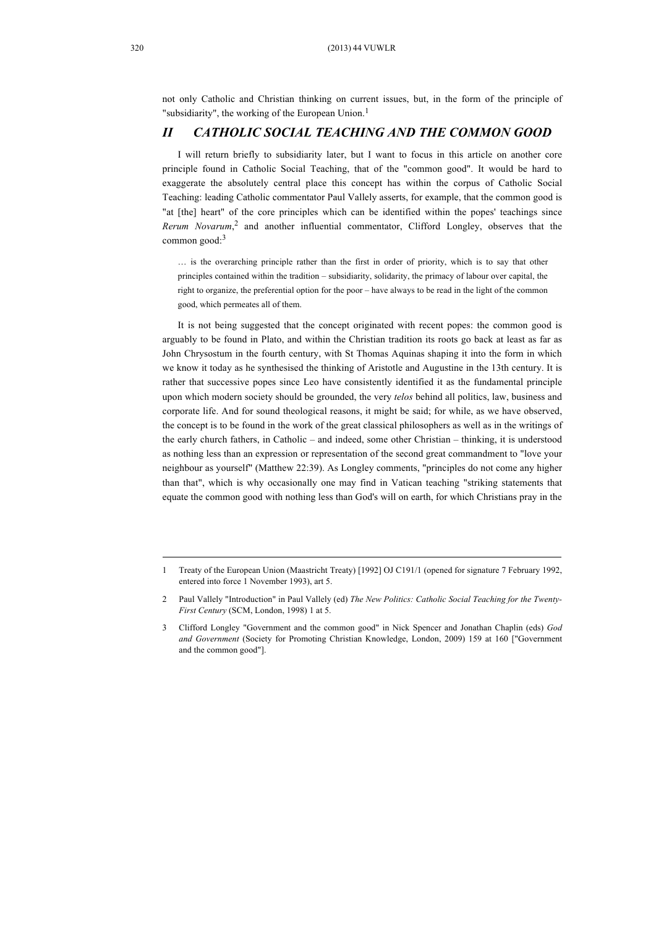not only Catholic and Christian thinking on current issues, but, in the form of the principle of "subsidiarity", the working of the European Union.<sup>1</sup>

#### *II CATHOLIC SOCIAL TEACHING AND THE COMMON GOOD*

I will return briefly to subsidiarity later, but I want to focus in this article on another core principle found in Catholic Social Teaching, that of the "common good". It would be hard to exaggerate the absolutely central place this concept has within the corpus of Catholic Social Teaching: leading Catholic commentator Paul Vallely asserts, for example, that the common good is "at [the] heart" of the core principles which can be identified within the popes' teachings since *Rerum Novarum*, 2 and another influential commentator, Clifford Longley, observes that the common good: 3

… is the overarching principle rather than the first in order of priority, which is to say that other principles contained within the tradition – subsidiarity, solidarity, the primacy of labour over capital, the right to organize, the preferential option for the poor – have always to be read in the light of the common good, which permeates all of them.

It is not being suggested that the concept originated with recent popes: the common good is arguably to be found in Plato, and within the Christian tradition its roots go back at least as far as John Chrysostum in the fourth century, with St Thomas Aquinas shaping it into the form in which we know it today as he synthesised the thinking of Aristotle and Augustine in the 13th century. It is rather that successive popes since Leo have consistently identified it as the fundamental principle upon which modern society should be grounded, the very *telos* behind all politics, law, business and corporate life. And for sound theological reasons, it might be said; for while, as we have observed, the concept is to be found in the work of the great classical philosophers as well as in the writings of the early church fathers, in Catholic – and indeed, some other Christian – thinking, it is understood as nothing less than an expression or representation of the second great commandment to "love your neighbour as yourself" (Matthew 22:39). As Longley comments, "principles do not come any higher than that", which is why occasionally one may find in Vatican teaching "striking statements that equate the common good with nothing less than God's will on earth, for which Christians pray in the

<sup>1</sup> Treaty of the European Union (Maastricht Treaty) [1992] OJ C191/1 (opened for signature 7 February 1992, entered into force 1 November 1993), art 5.

<sup>2</sup> Paul Vallely "Introduction" in Paul Vallely (ed) *The New Politics: Catholic Social Teaching for the Twenty-First Century* (SCM, London, 1998) 1 at 5.

<sup>3</sup> Clifford Longley "Government and the common good" in Nick Spencer and Jonathan Chaplin (eds) *God and Government* (Society for Promoting Christian Knowledge, London, 2009) 159 at 160 ["Government and the common good"].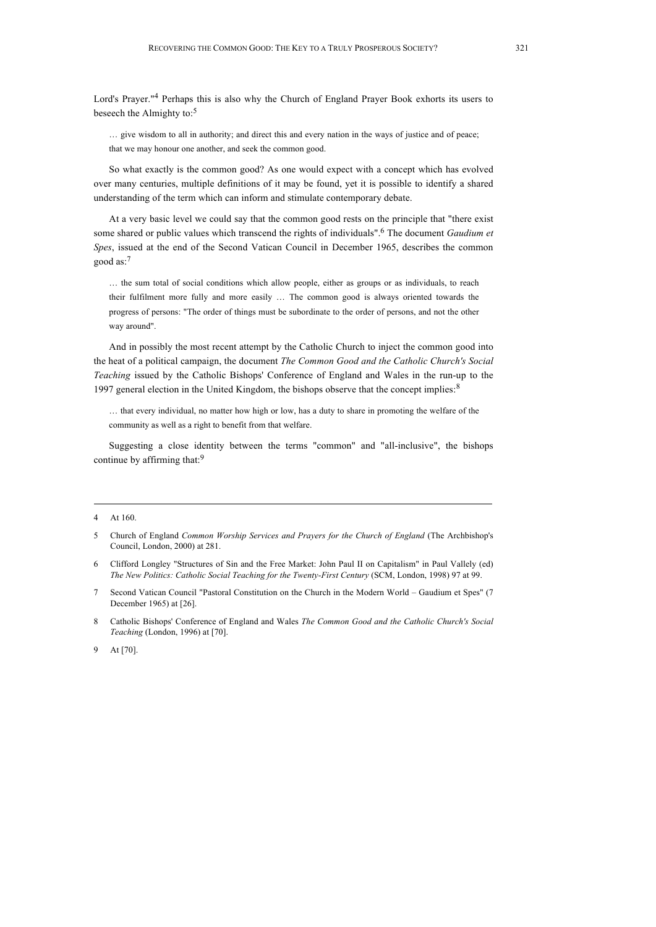Lord's Prayer."4 Perhaps this is also why the Church of England Prayer Book exhorts its users to beseech the Almighty to:<sup>5</sup>

… give wisdom to all in authority; and direct this and every nation in the ways of justice and of peace; that we may honour one another, and seek the common good.

So what exactly is the common good? As one would expect with a concept which has evolved over many centuries, multiple definitions of it may be found, yet it is possible to identify a shared understanding of the term which can inform and stimulate contemporary debate.

At a very basic level we could say that the common good rests on the principle that "there exist some shared or public values which transcend the rights of individuals". <sup>6</sup> The document *Gaudium et Spes*, issued at the end of the Second Vatican Council in December 1965, describes the common good as: 7

… the sum total of social conditions which allow people, either as groups or as individuals, to reach their fulfilment more fully and more easily … The common good is always oriented towards the progress of persons: "The order of things must be subordinate to the order of persons, and not the other way around".

And in possibly the most recent attempt by the Catholic Church to inject the common good into the heat of a political campaign, the document *The Common Good and the Catholic Church's Social Teaching* issued by the Catholic Bishops' Conference of England and Wales in the run-up to the 1997 general election in the United Kingdom, the bishops observe that the concept implies.<sup>8</sup>

… that every individual, no matter how high or low, has a duty to share in promoting the welfare of the community as well as a right to benefit from that welfare.

Suggesting a close identity between the terms "common" and "all-inclusive", the bishops continue by affirming that:<sup>9</sup>

- 6 Clifford Longley "Structures of Sin and the Free Market: John Paul II on Capitalism" in Paul Vallely (ed) *The New Politics: Catholic Social Teaching for the Twenty-First Century* (SCM, London, 1998) 97 at 99.
- 7 Second Vatican Council "Pastoral Constitution on the Church in the Modern World Gaudium et Spes" (7 December 1965) at [26].
- 8 Catholic Bishops' Conference of England and Wales *The Common Good and the Catholic Church's Social Teaching* (London, 1996) at [70].

9 At [70].

At 160.

<sup>5</sup> Church of England *Common Worship Services and Prayers for the Church of England* (The Archbishop's Council, London, 2000) at 281.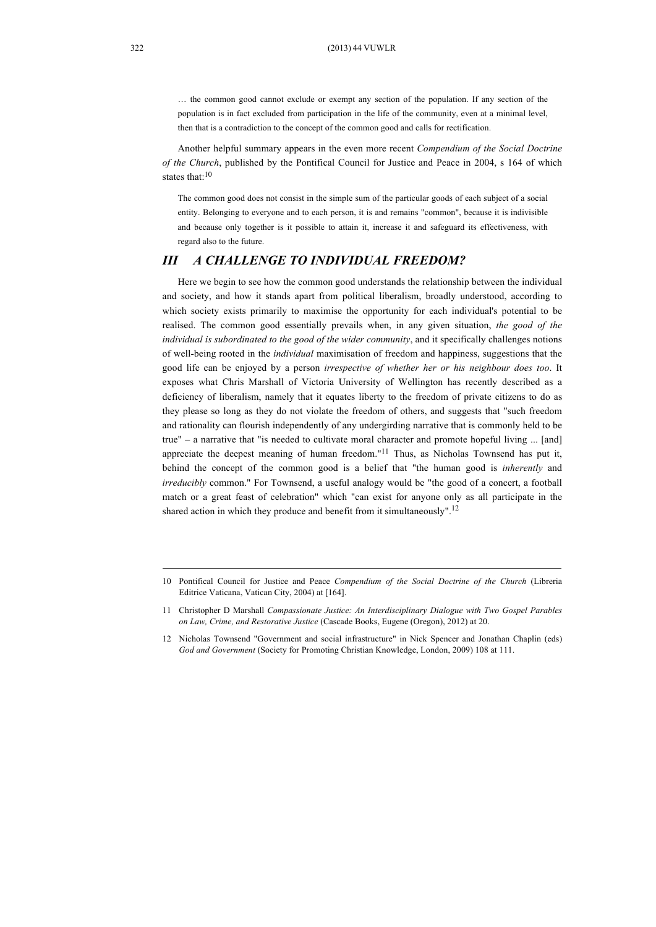… the common good cannot exclude or exempt any section of the population. If any section of the population is in fact excluded from participation in the life of the community, even at a minimal level, then that is a contradiction to the concept of the common good and calls for rectification.

Another helpful summary appears in the even more recent *Compendium of the Social Doctrine of the Church*, published by the Pontifical Council for Justice and Peace in 2004, s 164 of which states that:<sup>10</sup>

The common good does not consist in the simple sum of the particular goods of each subject of a social entity. Belonging to everyone and to each person, it is and remains "common", because it is indivisible and because only together is it possible to attain it, increase it and safeguard its effectiveness, with regard also to the future.

# *III A CHALLENGE TO INDIVIDUAL FREEDOM?*

Here we begin to see how the common good understands the relationship between the individual and society, and how it stands apart from political liberalism, broadly understood, according to which society exists primarily to maximise the opportunity for each individual's potential to be realised. The common good essentially prevails when, in any given situation, *the good of the individual is subordinated to the good of the wider community*, and it specifically challenges notions of well-being rooted in the *individual* maximisation of freedom and happiness, suggestions that the good life can be enjoyed by a person *irrespective of whether her or his neighbour does too*. It exposes what Chris Marshall of Victoria University of Wellington has recently described as a deficiency of liberalism, namely that it equates liberty to the freedom of private citizens to do as they please so long as they do not violate the freedom of others, and suggests that "such freedom and rationality can flourish independently of any undergirding narrative that is commonly held to be true" – a narrative that "is needed to cultivate moral character and promote hopeful living ... [and] appreciate the deepest meaning of human freedom. $"^{11}$  Thus, as Nicholas Townsend has put it, behind the concept of the common good is a belief that "the human good is *inherently* and *irreducibly* common." For Townsend, a useful analogy would be "the good of a concert, a football match or a great feast of celebration" which "can exist for anyone only as all participate in the shared action in which they produce and benefit from it simultaneously".<sup>12</sup>

<sup>10</sup> Pontifical Council for Justice and Peace *Compendium of the Social Doctrine of the Church* (Libreria Editrice Vaticana, Vatican City, 2004) at [164].

<sup>11</sup> Christopher D Marshall *Compassionate Justice: An Interdisciplinary Dialogue with Two Gospel Parables on Law, Crime, and Restorative Justice* (Cascade Books, Eugene (Oregon), 2012) at 20.

<sup>12</sup> Nicholas Townsend "Government and social infrastructure" in Nick Spencer and Jonathan Chaplin (eds) *God and Government* (Society for Promoting Christian Knowledge, London, 2009) 108 at 111.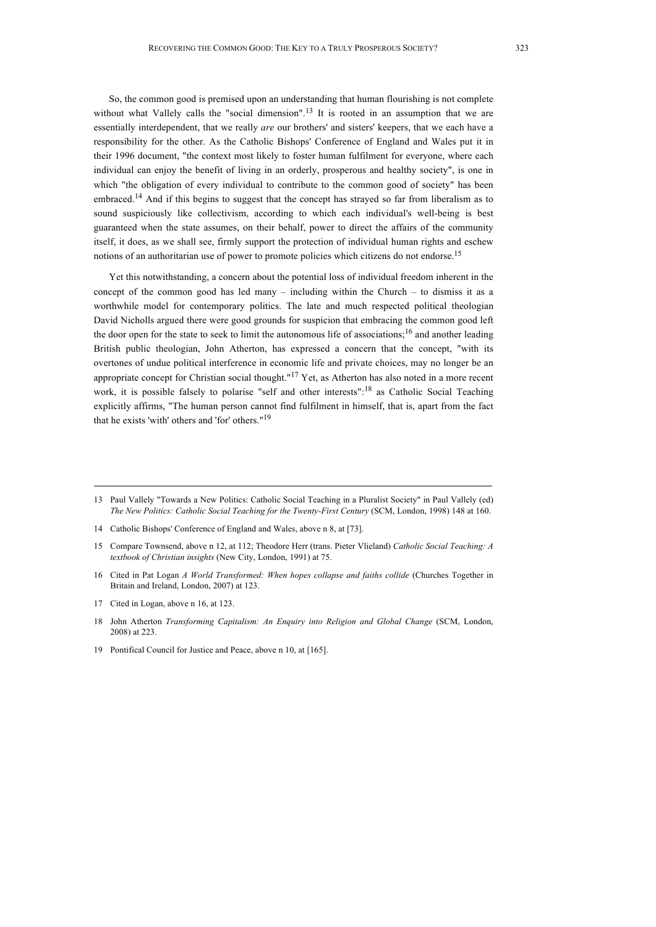So, the common good is premised upon an understanding that human flourishing is not complete without what Vallely calls the "social dimension".<sup>13</sup> It is rooted in an assumption that we are essentially interdependent, that we really *are* our brothers' and sisters' keepers, that we each have a responsibility for the other. As the Catholic Bishops' Conference of England and Wales put it in their 1996 document, "the context most likely to foster human fulfilment for everyone, where each individual can enjoy the benefit of living in an orderly, prosperous and healthy society", is one in which "the obligation of every individual to contribute to the common good of society" has been embraced.<sup>14</sup> And if this begins to suggest that the concept has strayed so far from liberalism as to sound suspiciously like collectivism, according to which each individual's well-being is best guaranteed when the state assumes, on their behalf, power to direct the affairs of the community itself, it does, as we shall see, firmly support the protection of individual human rights and eschew notions of an authoritarian use of power to promote policies which citizens do not endorse.<sup>15</sup>

Yet this notwithstanding, a concern about the potential loss of individual freedom inherent in the concept of the common good has led many – including within the Church – to dismiss it as a worthwhile model for contemporary politics. The late and much respected political theologian David Nicholls argued there were good grounds for suspicion that embracing the common good left the door open for the state to seek to limit the autonomous life of associations;<sup>16</sup> and another leading British public theologian, John Atherton, has expressed a concern that the concept, "with its overtones of undue political interference in economic life and private choices, may no longer be an appropriate concept for Christian social thought."<sup>17</sup> Yet, as Atherton has also noted in a more recent work, it is possible falsely to polarise "self and other interests":<sup>18</sup> as Catholic Social Teaching explicitly affirms, "The human person cannot find fulfilment in himself, that is, apart from the fact that he exists 'with' others and 'for' others."19

- 16 Cited in Pat Logan *A World Transformed: When hopes collapse and faiths collide* (Churches Together in Britain and Ireland, London, 2007) at 123.
- 17 Cited in Logan, above n 16, at 123.
- 18 John Atherton *Transforming Capitalism: An Enquiry into Religion and Global Change* (SCM, London, 2008) at 223.
- 19 Pontifical Council for Justice and Peace, above n 10, at [165].

<sup>13</sup> Paul Vallely "Towards a New Politics: Catholic Social Teaching in a Pluralist Society" in Paul Vallely (ed) *The New Politics: Catholic Social Teaching for the Twenty-First Century* (SCM, London, 1998) 148 at 160.

<sup>14</sup> Catholic Bishops' Conference of England and Wales, above n 8, at [73].

<sup>15</sup> Compare Townsend, above n 12, at 112; Theodore Herr (trans. Pieter Vlieland) *Catholic Social Teaching: A textbook of Christian insights* (New City, London, 1991) at 75.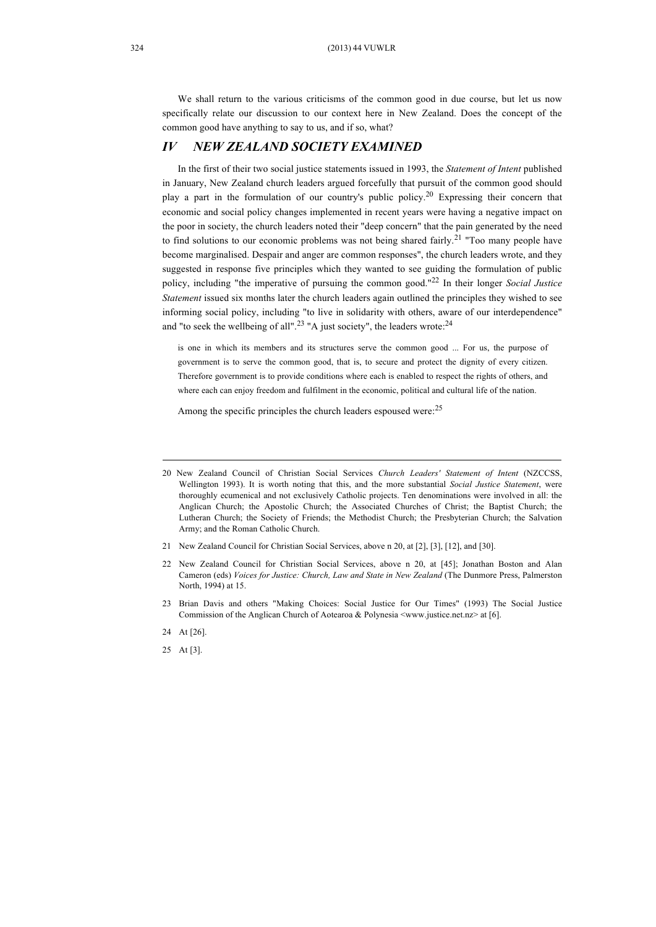We shall return to the various criticisms of the common good in due course, but let us now specifically relate our discussion to our context here in New Zealand. Does the concept of the common good have anything to say to us, and if so, what?

#### *IV NEW ZEALAND SOCIETY EXAMINED*

In the first of their two social justice statements issued in 1993, the *Statement of Intent* published in January, New Zealand church leaders argued forcefully that pursuit of the common good should play a part in the formulation of our country's public policy.20 Expressing their concern that economic and social policy changes implemented in recent years were having a negative impact on the poor in society, the church leaders noted their "deep concern" that the pain generated by the need to find solutions to our economic problems was not being shared fairly.<sup>21</sup> "Too many people have become marginalised. Despair and anger are common responses", the church leaders wrote, and they suggested in response five principles which they wanted to see guiding the formulation of public policy, including "the imperative of pursuing the common good."22 In their longer *Social Justice Statement* issued six months later the church leaders again outlined the principles they wished to see informing social policy, including "to live in solidarity with others, aware of our interdependence" and "to seek the wellbeing of all".<sup>23</sup> "A just society", the leaders wrote: $^{24}$ 

is one in which its members and its structures serve the common good ... For us, the purpose of government is to serve the common good, that is, to secure and protect the dignity of every citizen. Therefore government is to provide conditions where each is enabled to respect the rights of others, and where each can enjoy freedom and fulfilment in the economic, political and cultural life of the nation.

Among the specific principles the church leaders espoused were: <sup>25</sup>

- 21 New Zealand Council for Christian Social Services, above n 20, at [2], [3], [12], and [30].
- 22 New Zealand Council for Christian Social Services, above n 20, at [45]; Jonathan Boston and Alan Cameron (eds) *Voices for Justice: Church, Law and State in New Zealand* (The Dunmore Press, Palmerston North, 1994) at 15.
- 23 Brian Davis and others "Making Choices: Social Justice for Our Times" (1993) The Social Justice Commission of the Anglican Church of Aotearoa & Polynesia <www.justice.net.nz> at [6].
- 24 At [26].
- 25 At [3].

<sup>20</sup> New Zealand Council of Christian Social Services *Church Leaders' Statement of Intent* (NZCCSS, Wellington 1993). It is worth noting that this, and the more substantial *Social Justice Statement*, were thoroughly ecumenical and not exclusively Catholic projects. Ten denominations were involved in all: the Anglican Church; the Apostolic Church; the Associated Churches of Christ; the Baptist Church; the Lutheran Church; the Society of Friends; the Methodist Church; the Presbyterian Church; the Salvation Army; and the Roman Catholic Church.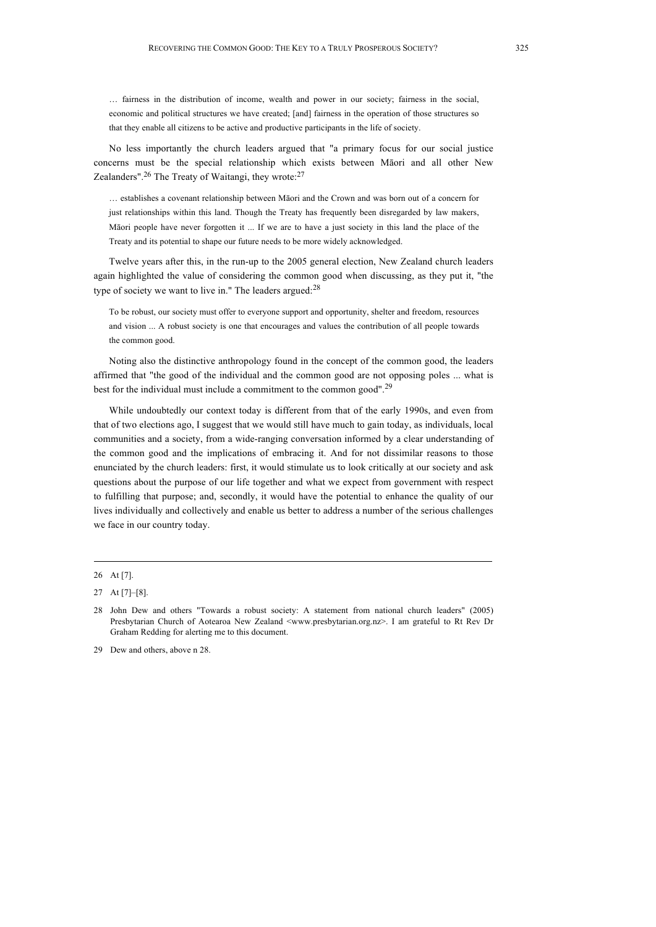… fairness in the distribution of income, wealth and power in our society; fairness in the social, economic and political structures we have created; [and] fairness in the operation of those structures so that they enable all citizens to be active and productive participants in the life of society.

No less importantly the church leaders argued that "a primary focus for our social justice concerns must be the special relationship which exists between Māori and all other New Zealanders".<sup>26</sup> The Treaty of Waitangi, they wrote: $27$ 

… establishes a covenant relationship between Māori and the Crown and was born out of a concern for just relationships within this land. Though the Treaty has frequently been disregarded by law makers, Māori people have never forgotten it ... If we are to have a just society in this land the place of the Treaty and its potential to shape our future needs to be more widely acknowledged.

Twelve years after this, in the run-up to the 2005 general election, New Zealand church leaders again highlighted the value of considering the common good when discussing, as they put it, "the type of society we want to live in." The leaders argued:<sup>28</sup>

To be robust, our society must offer to everyone support and opportunity, shelter and freedom, resources and vision ... A robust society is one that encourages and values the contribution of all people towards the common good.

Noting also the distinctive anthropology found in the concept of the common good, the leaders affirmed that "the good of the individual and the common good are not opposing poles ... what is best for the individual must include a commitment to the common good".<sup>29</sup>

While undoubtedly our context today is different from that of the early 1990s, and even from that of two elections ago, I suggest that we would still have much to gain today, as individuals, local communities and a society, from a wide-ranging conversation informed by a clear understanding of the common good and the implications of embracing it. And for not dissimilar reasons to those enunciated by the church leaders: first, it would stimulate us to look critically at our society and ask questions about the purpose of our life together and what we expect from government with respect to fulfilling that purpose; and, secondly, it would have the potential to enhance the quality of our lives individually and collectively and enable us better to address a number of the serious challenges we face in our country today.

29 Dew and others, above n 28.

<sup>26</sup> At [7].

<sup>27</sup> At [7]–[8].

<sup>28</sup> John Dew and others "Towards a robust society: A statement from national church leaders" (2005) Presbytarian Church of Aotearoa New Zealand <www.presbytarian.org.nz>. I am grateful to Rt Rev Dr Graham Redding for alerting me to this document.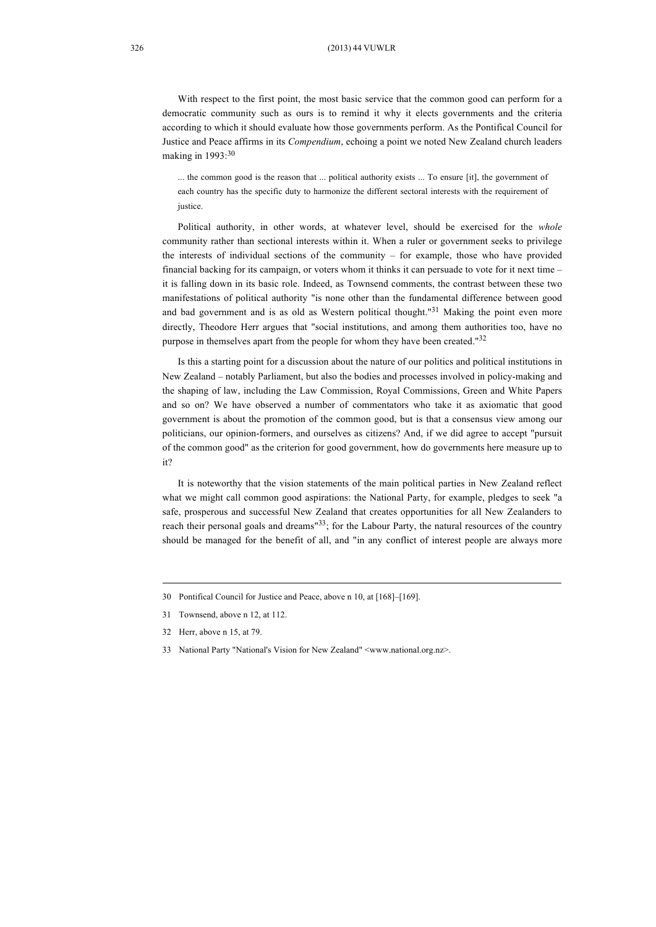With respect to the first point, the most basic service that the common good can perform for a democratic community such as ours is to remind it why it elects governments and the criteria according to which it should evaluate how those governments perform. As the Pontifical Council for Justice and Peace affirms in its *Compendium*, echoing a point we noted New Zealand church leaders making in 1993:<sup>30</sup>

... the common good is the reason that ... political authority exists ... To ensure [it], the government of each country has the specific duty to harmonize the different sectoral interests with the requirement of justice.

Political authority, in other words, at whatever level, should be exercised for the *whole*  community rather than sectional interests within it. When a ruler or government seeks to privilege the interests of individual sections of the community – for example, those who have provided financial backing for its campaign, or voters whom it thinks it can persuade to vote for it next time – it is falling down in its basic role. Indeed, as Townsend comments, the contrast between these two manifestations of political authority "is none other than the fundamental difference between good and bad government and is as old as Western political thought."<sup>31</sup> Making the point even more directly, Theodore Herr argues that "social institutions, and among them authorities too, have no purpose in themselves apart from the people for whom they have been created."<sup>32</sup>

Is this a starting point for a discussion about the nature of our politics and political institutions in New Zealand – notably Parliament, but also the bodies and processes involved in policy-making and the shaping of law, including the Law Commission, Royal Commissions, Green and White Papers and so on? We have observed a number of commentators who take it as axiomatic that good government is about the promotion of the common good, but is that a consensus view among our politicians, our opinion-formers, and ourselves as citizens? And, if we did agree to accept "pursuit of the common good" as the criterion for good government, how do governments here measure up to it?

It is noteworthy that the vision statements of the main political parties in New Zealand reflect what we might call common good aspirations: the National Party, for example, pledges to seek "a safe, prosperous and successful New Zealand that creates opportunities for all New Zealanders to reach their personal goals and dreams"33; for the Labour Party, the natural resources of the country should be managed for the benefit of all, and "in any conflict of interest people are always more

<sup>30</sup> Pontifical Council for Justice and Peace, above n 10, at [168]–[169].

<sup>31</sup> Townsend, above n 12, at 112.

<sup>32</sup> Herr, above n 15, at 79.

<sup>33</sup> National Party "National's Vision for New Zealand" <www.national.org.nz>.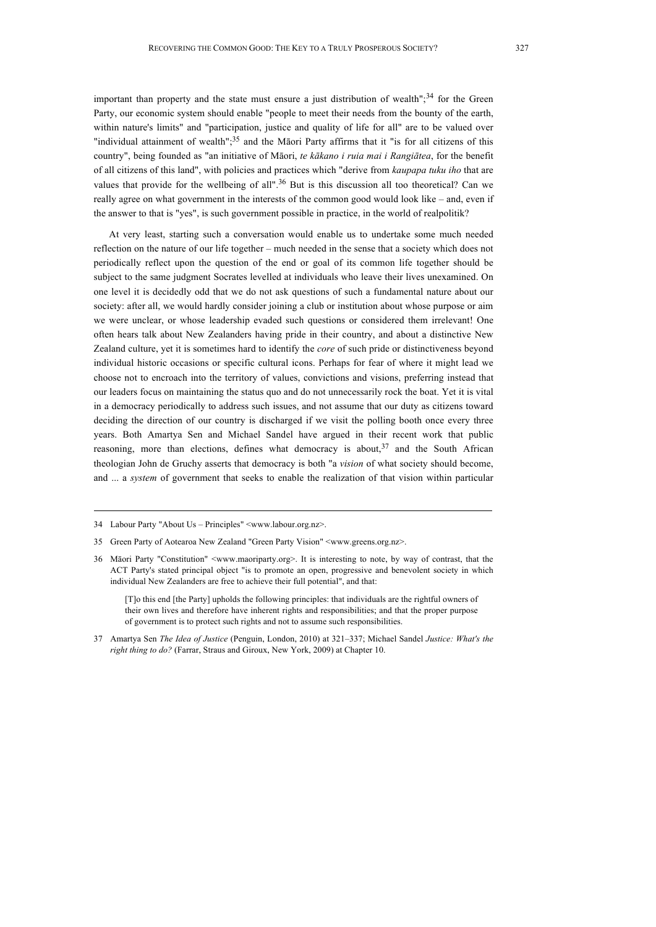important than property and the state must ensure a just distribution of wealth";<sup>34</sup> for the Green Party, our economic system should enable "people to meet their needs from the bounty of the earth, within nature's limits" and "participation, justice and quality of life for all" are to be valued over "individual attainment of wealth";<sup>35</sup> and the Māori Party affirms that it "is for all citizens of this country", being founded as "an initiative of Māori, *te kākano i ruia mai i Rangiātea*, for the benefit of all citizens of this land", with policies and practices which "derive from *kaupapa tuku iho* that are values that provide for the wellbeing of all".<sup>36</sup> But is this discussion all too theoretical? Can we really agree on what government in the interests of the common good would look like – and, even if the answer to that is "yes", is such government possible in practice, in the world of realpolitik?

At very least, starting such a conversation would enable us to undertake some much needed reflection on the nature of our life together – much needed in the sense that a society which does not periodically reflect upon the question of the end or goal of its common life together should be subject to the same judgment Socrates levelled at individuals who leave their lives unexamined. On one level it is decidedly odd that we do not ask questions of such a fundamental nature about our society: after all, we would hardly consider joining a club or institution about whose purpose or aim we were unclear, or whose leadership evaded such questions or considered them irrelevant! One often hears talk about New Zealanders having pride in their country, and about a distinctive New Zealand culture, yet it is sometimes hard to identify the *core* of such pride or distinctiveness beyond individual historic occasions or specific cultural icons. Perhaps for fear of where it might lead we choose not to encroach into the territory of values, convictions and visions, preferring instead that our leaders focus on maintaining the status quo and do not unnecessarily rock the boat. Yet it is vital in a democracy periodically to address such issues, and not assume that our duty as citizens toward deciding the direction of our country is discharged if we visit the polling booth once every three years. Both Amartya Sen and Michael Sandel have argued in their recent work that public reasoning, more than elections, defines what democracy is about,  $37$  and the South African theologian John de Gruchy asserts that democracy is both "a *vision* of what society should become, and ... a *system* of government that seeks to enable the realization of that vision within particular

<sup>34</sup> Labour Party "About Us – Principles" <www.labour.org.nz>.

<sup>35</sup> Green Party of Aotearoa New Zealand "Green Party Vision" <www.greens.org.nz>.

<sup>36</sup> Māori Party "Constitution" <www.maoriparty.org>. It is interesting to note, by way of contrast, that the ACT Party's stated principal object "is to promote an open, progressive and benevolent society in which individual New Zealanders are free to achieve their full potential", and that:

<sup>[</sup>T]o this end [the Party] upholds the following principles: that individuals are the rightful owners of their own lives and therefore have inherent rights and responsibilities; and that the proper purpose of government is to protect such rights and not to assume such responsibilities.

<sup>37</sup> Amartya Sen *The Idea of Justice* (Penguin, London, 2010) at 321–337; Michael Sandel *Justice: What's the right thing to do?* (Farrar, Straus and Giroux, New York, 2009) at Chapter 10.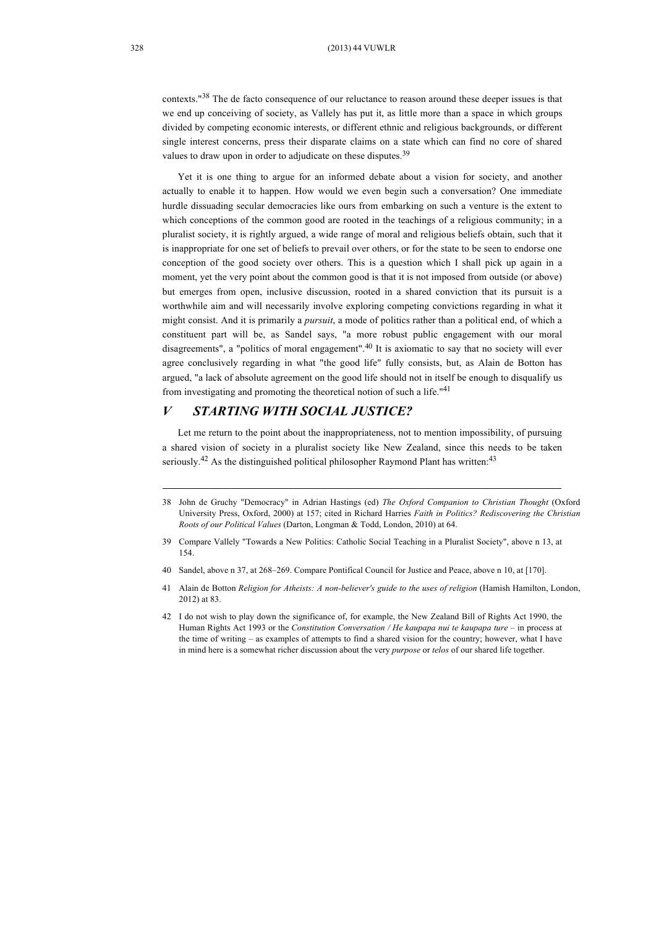contexts."38 The de facto consequence of our reluctance to reason around these deeper issues is that we end up conceiving of society, as Vallely has put it, as little more than a space in which groups divided by competing economic interests, or different ethnic and religious backgrounds, or different single interest concerns, press their disparate claims on a state which can find no core of shared values to draw upon in order to adjudicate on these disputes.<sup>39</sup>

Yet it is one thing to argue for an informed debate about a vision for society, and another actually to enable it to happen. How would we even begin such a conversation? One immediate hurdle dissuading secular democracies like ours from embarking on such a venture is the extent to which conceptions of the common good are rooted in the teachings of a religious community; in a pluralist society, it is rightly argued, a wide range of moral and religious beliefs obtain, such that it is inappropriate for one set of beliefs to prevail over others, or for the state to be seen to endorse one conception of the good society over others. This is a question which I shall pick up again in a moment, yet the very point about the common good is that it is not imposed from outside (or above) but emerges from open, inclusive discussion, rooted in a shared conviction that its pursuit is a worthwhile aim and will necessarily involve exploring competing convictions regarding in what it might consist. And it is primarily a *pursuit*, a mode of politics rather than a political end, of which a constituent part will be, as Sandel says, "a more robust public engagement with our moral disagreements", a "politics of moral engagement".<sup>40</sup> It is axiomatic to say that no society will ever agree conclusively regarding in what "the good life" fully consists, but, as Alain de Botton has argued, "a lack of absolute agreement on the good life should not in itself be enough to disqualify us from investigating and promoting the theoretical notion of such a life."<sup>41</sup>

## *V STARTING WITH SOCIAL JUSTICE?*

Let me return to the point about the inappropriateness, not to mention impossibility, of pursuing a shared vision of society in a pluralist society like New Zealand, since this needs to be taken seriously.<sup>42</sup> As the distinguished political philosopher Raymond Plant has written:<sup>43</sup>

- 40 Sandel, above n 37, at 268–269. Compare Pontifical Council for Justice and Peace, above n 10, at [170].
- 41 Alain de Botton *Religion for Atheists: A non-believer's guide to the uses of religion* (Hamish Hamilton, London, 2012) at 83.
- 42 I do not wish to play down the significance of, for example, the New Zealand Bill of Rights Act 1990, the Human Rights Act 1993 or the *Constitution Conversation / He kaupapa nui te kaupapa ture* – in process at the time of writing – as examples of attempts to find a shared vision for the country; however, what I have in mind here is a somewhat richer discussion about the very *purpose* or *telos* of our shared life together.

<sup>38</sup> John de Gruchy "Democracy" in Adrian Hastings (ed) *The Oxford Companion to Christian Thought* (Oxford University Press, Oxford, 2000) at 157; cited in Richard Harries *Faith in Politics? Rediscovering the Christian Roots of our Political Values* (Darton, Longman & Todd, London, 2010) at 64.

<sup>39</sup> Compare Vallely "Towards a New Politics: Catholic Social Teaching in a Pluralist Society", above n 13, at 154.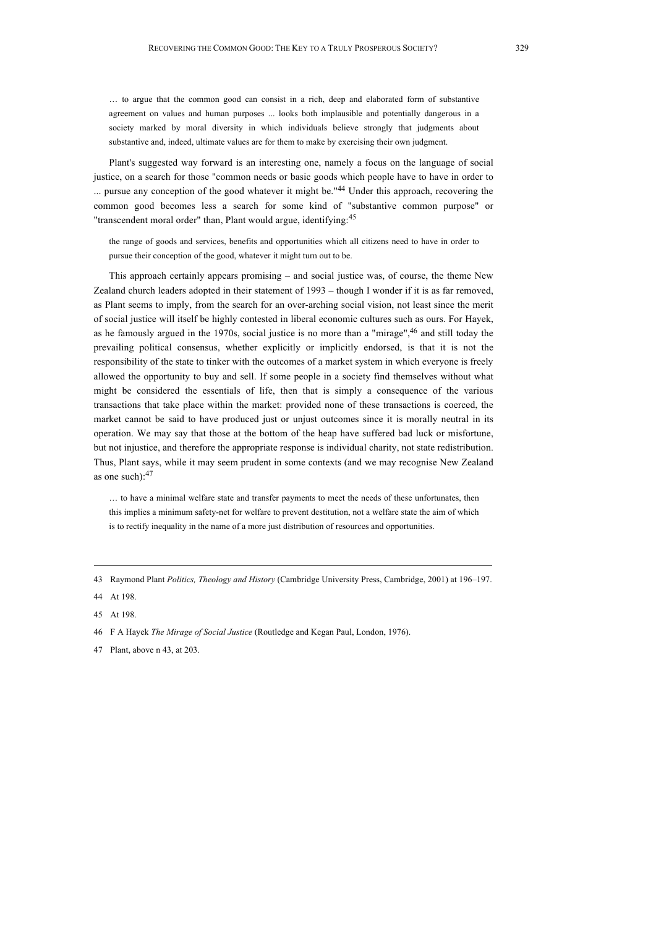… to argue that the common good can consist in a rich, deep and elaborated form of substantive agreement on values and human purposes ... looks both implausible and potentially dangerous in a society marked by moral diversity in which individuals believe strongly that judgments about substantive and, indeed, ultimate values are for them to make by exercising their own judgment.

Plant's suggested way forward is an interesting one, namely a focus on the language of social justice, on a search for those "common needs or basic goods which people have to have in order to ... pursue any conception of the good whatever it might be."<sup>44</sup> Under this approach, recovering the common good becomes less a search for some kind of "substantive common purpose" or "transcendent moral order" than, Plant would argue, identifying:<sup>45</sup>

the range of goods and services, benefits and opportunities which all citizens need to have in order to pursue their conception of the good, whatever it might turn out to be.

This approach certainly appears promising – and social justice was, of course, the theme New Zealand church leaders adopted in their statement of 1993 – though I wonder if it is as far removed, as Plant seems to imply, from the search for an over-arching social vision, not least since the merit of social justice will itself be highly contested in liberal economic cultures such as ours. For Hayek, as he famously argued in the 1970s, social justice is no more than a "mirage",<sup>46</sup> and still today the prevailing political consensus, whether explicitly or implicitly endorsed, is that it is not the responsibility of the state to tinker with the outcomes of a market system in which everyone is freely allowed the opportunity to buy and sell. If some people in a society find themselves without what might be considered the essentials of life, then that is simply a consequence of the various transactions that take place within the market: provided none of these transactions is coerced, the market cannot be said to have produced just or unjust outcomes since it is morally neutral in its operation. We may say that those at the bottom of the heap have suffered bad luck or misfortune, but not injustice, and therefore the appropriate response is individual charity, not state redistribution. Thus, Plant says, while it may seem prudent in some contexts (and we may recognise New Zealand as one such): 47

… to have a minimal welfare state and transfer payments to meet the needs of these unfortunates, then this implies a minimum safety-net for welfare to prevent destitution, not a welfare state the aim of which is to rectify inequality in the name of a more just distribution of resources and opportunities.

<sup>43</sup> Raymond Plant *Politics, Theology and History* (Cambridge University Press, Cambridge, 2001) at 196–197.

<sup>44</sup> At 198.

<sup>45</sup> At 198.

<sup>46</sup> F A Hayek *The Mirage of Social Justice* (Routledge and Kegan Paul, London, 1976).

<sup>47</sup> Plant, above n 43, at 203.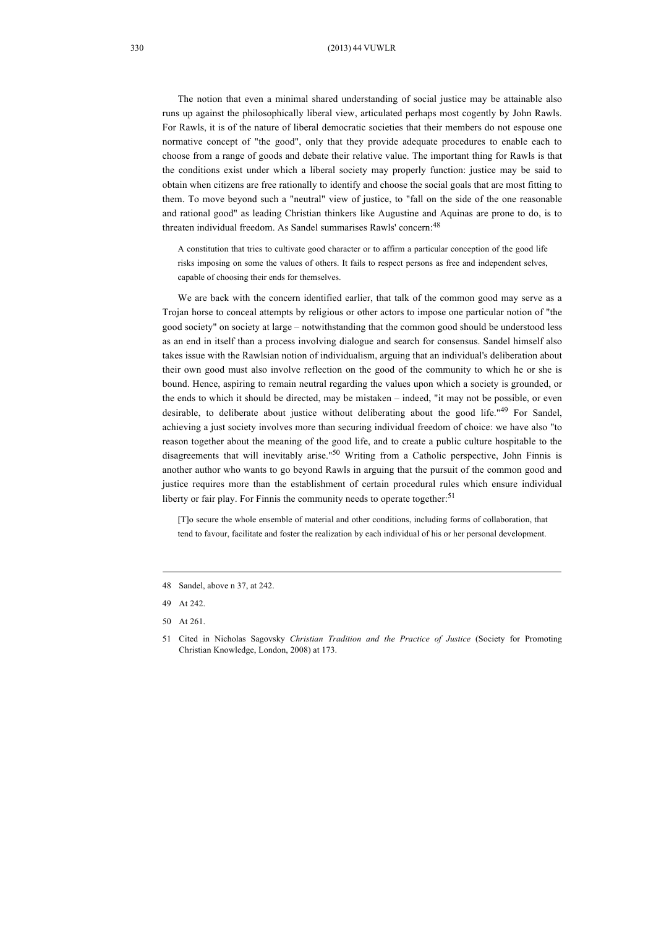The notion that even a minimal shared understanding of social justice may be attainable also runs up against the philosophically liberal view, articulated perhaps most cogently by John Rawls. For Rawls, it is of the nature of liberal democratic societies that their members do not espouse one normative concept of "the good", only that they provide adequate procedures to enable each to choose from a range of goods and debate their relative value. The important thing for Rawls is that the conditions exist under which a liberal society may properly function: justice may be said to obtain when citizens are free rationally to identify and choose the social goals that are most fitting to them. To move beyond such a "neutral" view of justice, to "fall on the side of the one reasonable and rational good" as leading Christian thinkers like Augustine and Aquinas are prone to do, is to threaten individual freedom. As Sandel summarises Rawls' concern:<sup>48</sup>

A constitution that tries to cultivate good character or to affirm a particular conception of the good life risks imposing on some the values of others. It fails to respect persons as free and independent selves, capable of choosing their ends for themselves.

We are back with the concern identified earlier, that talk of the common good may serve as a Trojan horse to conceal attempts by religious or other actors to impose one particular notion of "the good society" on society at large – notwithstanding that the common good should be understood less as an end in itself than a process involving dialogue and search for consensus. Sandel himself also takes issue with the Rawlsian notion of individualism, arguing that an individual's deliberation about their own good must also involve reflection on the good of the community to which he or she is bound. Hence, aspiring to remain neutral regarding the values upon which a society is grounded, or the ends to which it should be directed, may be mistaken – indeed, "it may not be possible, or even desirable, to deliberate about justice without deliberating about the good life."49 For Sandel, achieving a just society involves more than securing individual freedom of choice: we have also "to reason together about the meaning of the good life, and to create a public culture hospitable to the disagreements that will inevitably arise."50 Writing from a Catholic perspective, John Finnis is another author who wants to go beyond Rawls in arguing that the pursuit of the common good and justice requires more than the establishment of certain procedural rules which ensure individual liberty or fair play. For Finnis the community needs to operate together:<sup>51</sup>

[T]o secure the whole ensemble of material and other conditions, including forms of collaboration, that tend to favour, facilitate and foster the realization by each individual of his or her personal development.

<sup>48</sup> Sandel, above n 37, at 242.

<sup>49</sup> At 242.

<sup>50</sup> At 261.

<sup>51</sup> Cited in Nicholas Sagovsky *Christian Tradition and the Practice of Justice* (Society for Promoting Christian Knowledge, London, 2008) at 173.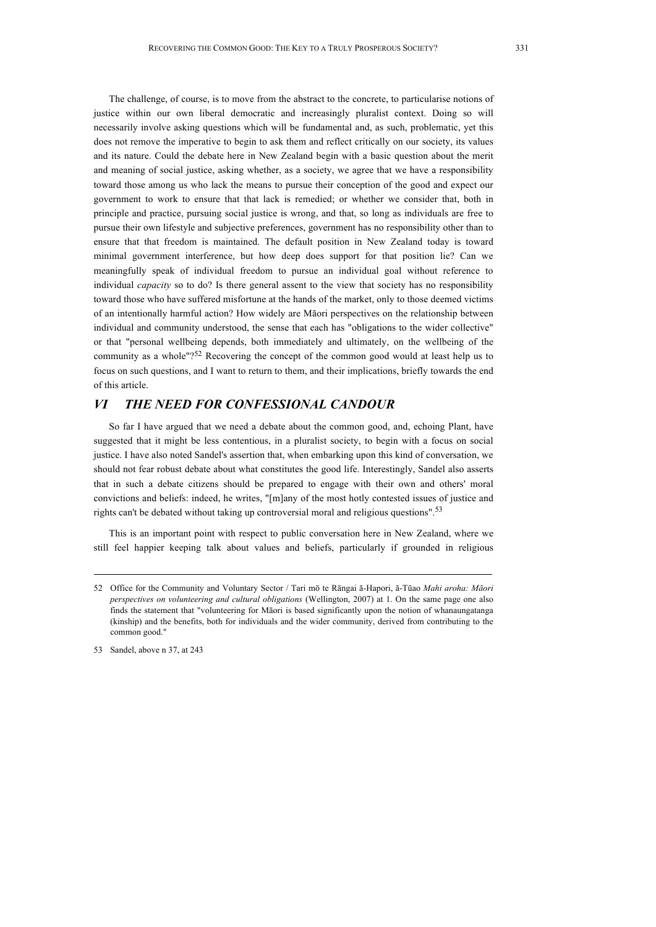The challenge, of course, is to move from the abstract to the concrete, to particularise notions of justice within our own liberal democratic and increasingly pluralist context. Doing so will necessarily involve asking questions which will be fundamental and, as such, problematic, yet this does not remove the imperative to begin to ask them and reflect critically on our society, its values and its nature. Could the debate here in New Zealand begin with a basic question about the merit and meaning of social justice, asking whether, as a society, we agree that we have a responsibility toward those among us who lack the means to pursue their conception of the good and expect our government to work to ensure that that lack is remedied; or whether we consider that, both in principle and practice, pursuing social justice is wrong, and that, so long as individuals are free to pursue their own lifestyle and subjective preferences, government has no responsibility other than to ensure that that freedom is maintained. The default position in New Zealand today is toward minimal government interference, but how deep does support for that position lie? Can we meaningfully speak of individual freedom to pursue an individual goal without reference to individual *capacity* so to do? Is there general assent to the view that society has no responsibility toward those who have suffered misfortune at the hands of the market, only to those deemed victims of an intentionally harmful action? How widely are Māori perspectives on the relationship between individual and community understood, the sense that each has "obligations to the wider collective" or that "personal wellbeing depends, both immediately and ultimately, on the wellbeing of the community as a whole" $2^{52}$  Recovering the concept of the common good would at least help us to focus on such questions, and I want to return to them, and their implications, briefly towards the end of this article.

# *VI THE NEED FOR CONFESSIONAL CANDOUR*

So far I have argued that we need a debate about the common good, and, echoing Plant, have suggested that it might be less contentious, in a pluralist society, to begin with a focus on social justice. I have also noted Sandel's assertion that, when embarking upon this kind of conversation, we should not fear robust debate about what constitutes the good life. Interestingly, Sandel also asserts that in such a debate citizens should be prepared to engage with their own and others' moral convictions and beliefs: indeed, he writes, "[m]any of the most hotly contested issues of justice and rights can't be debated without taking up controversial moral and religious questions".<sup>53</sup>

This is an important point with respect to public conversation here in New Zealand, where we still feel happier keeping talk about values and beliefs, particularly if grounded in religious

53 Sandel, above n 37, at 243

<sup>52</sup> Office for the Community and Voluntary Sector / Tari mō te Rāngai ā-Hapori, ā-Tūao *Mahi aroha: Māori perspectives on volunteering and cultural obligations* (Wellington, 2007) at 1. On the same page one also finds the statement that "volunteering for Māori is based significantly upon the notion of whanaungatanga (kinship) and the benefits, both for individuals and the wider community, derived from contributing to the common good."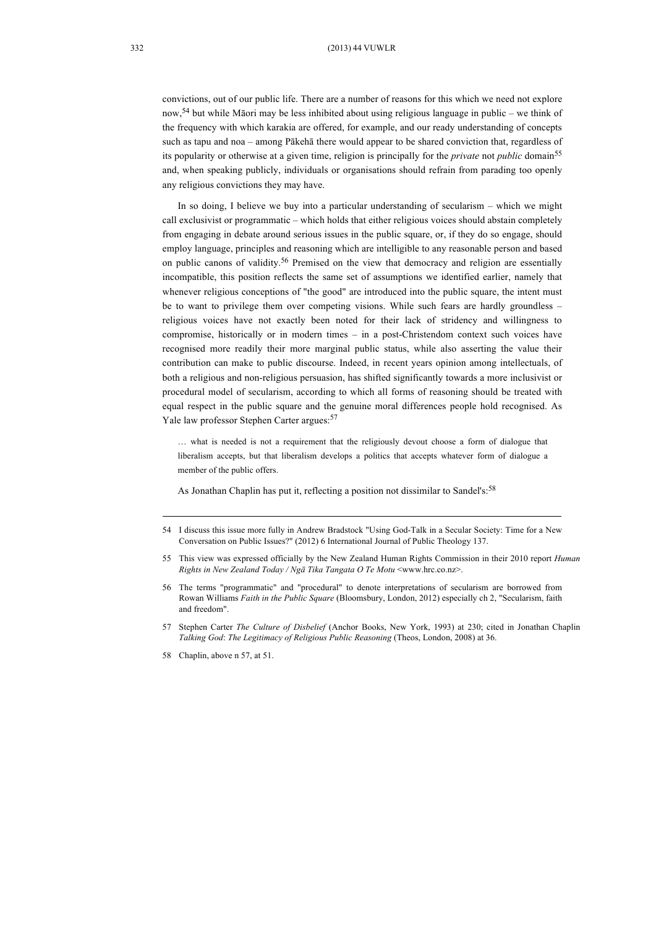convictions, out of our public life. There are a number of reasons for this which we need not explore now,<sup>54</sup> but while Māori may be less inhibited about using religious language in public – we think of the frequency with which karakia are offered, for example, and our ready understanding of concepts such as tapu and noa – among Pākehā there would appear to be shared conviction that, regardless of its popularity or otherwise at a given time, religion is principally for the *private* not *public* domain<sup>55</sup> and, when speaking publicly, individuals or organisations should refrain from parading too openly any religious convictions they may have.

In so doing, I believe we buy into a particular understanding of secularism – which we might call exclusivist or programmatic – which holds that either religious voices should abstain completely from engaging in debate around serious issues in the public square, or, if they do so engage, should employ language, principles and reasoning which are intelligible to any reasonable person and based on public canons of validity.<sup>56</sup> Premised on the view that democracy and religion are essentially incompatible, this position reflects the same set of assumptions we identified earlier, namely that whenever religious conceptions of "the good" are introduced into the public square, the intent must be to want to privilege them over competing visions. While such fears are hardly groundless – religious voices have not exactly been noted for their lack of stridency and willingness to compromise, historically or in modern times – in a post-Christendom context such voices have recognised more readily their more marginal public status, while also asserting the value their contribution can make to public discourse. Indeed, in recent years opinion among intellectuals, of both a religious and non-religious persuasion, has shifted significantly towards a more inclusivist or procedural model of secularism, according to which all forms of reasoning should be treated with equal respect in the public square and the genuine moral differences people hold recognised. As Yale law professor Stephen Carter argues: 57

… what is needed is not a requirement that the religiously devout choose a form of dialogue that liberalism accepts, but that liberalism develops a politics that accepts whatever form of dialogue a member of the public offers.

As Jonathan Chaplin has put it, reflecting a position not dissimilar to Sandel's:<sup>58</sup>

<sup>54</sup> I discuss this issue more fully in Andrew Bradstock "Using God-Talk in a Secular Society: Time for a New Conversation on Public Issues?" (2012) 6 International Journal of Public Theology 137.

<sup>55</sup> This view was expressed officially by the New Zealand Human Rights Commission in their 2010 report *Human Rights in New Zealand Today / Ngā Tika Tangata O Te Motu* <www.hrc.co.nz>.

<sup>56</sup> The terms "programmatic" and "procedural" to denote interpretations of secularism are borrowed from Rowan Williams *Faith in the Public Square* (Bloomsbury, London, 2012) especially ch 2, "Secularism, faith and freedom".

<sup>57</sup> Stephen Carter *The Culture of Disbelief* (Anchor Books, New York, 1993) at 230; cited in Jonathan Chaplin *Talking God*: *The Legitimacy of Religious Public Reasoning* (Theos, London, 2008) at 36.

<sup>58</sup> Chaplin, above n 57, at 51.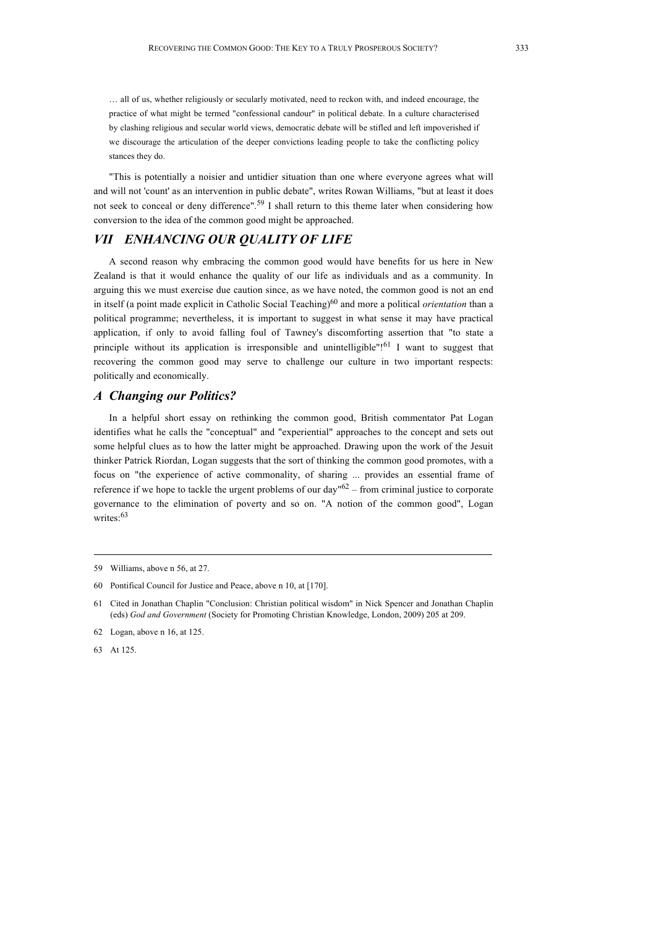… all of us, whether religiously or secularly motivated, need to reckon with, and indeed encourage, the practice of what might be termed "confessional candour" in political debate. In a culture characterised by clashing religious and secular world views, democratic debate will be stifled and left impoverished if we discourage the articulation of the deeper convictions leading people to take the conflicting policy stances they do.

"This is potentially a noisier and untidier situation than one where everyone agrees what will and will not 'count' as an intervention in public debate", writes Rowan Williams, "but at least it does not seek to conceal or deny difference". 59 I shall return to this theme later when considering how conversion to the idea of the common good might be approached.

# *VII ENHANCING OUR QUALITY OF LIFE*

A second reason why embracing the common good would have benefits for us here in New Zealand is that it would enhance the quality of our life as individuals and as a community. In arguing this we must exercise due caution since, as we have noted, the common good is not an end in itself (a point made explicit in Catholic Social Teaching)60 and more a political *orientation* than a political programme; nevertheless, it is important to suggest in what sense it may have practical application, if only to avoid falling foul of Tawney's discomforting assertion that "to state a principle without its application is irresponsible and unintelligible"!<sup>61</sup> I want to suggest that recovering the common good may serve to challenge our culture in two important respects: politically and economically.

#### *A Changing our Politics?*

In a helpful short essay on rethinking the common good, British commentator Pat Logan identifies what he calls the "conceptual" and "experiential" approaches to the concept and sets out some helpful clues as to how the latter might be approached. Drawing upon the work of the Jesuit thinker Patrick Riordan, Logan suggests that the sort of thinking the common good promotes, with a focus on "the experience of active commonality, of sharing ... provides an essential frame of reference if we hope to tackle the urgent problems of our day<sup>n62</sup> – from criminal justice to corporate governance to the elimination of poverty and so on. "A notion of the common good", Logan writes: 63

63 At 125.

<sup>59</sup> Williams, above n 56, at 27.

<sup>60</sup> Pontifical Council for Justice and Peace, above n 10, at [170].

<sup>61</sup> Cited in Jonathan Chaplin "Conclusion: Christian political wisdom" in Nick Spencer and Jonathan Chaplin (eds) *God and Government* (Society for Promoting Christian Knowledge, London, 2009) 205 at 209.

<sup>62</sup> Logan, above n 16, at 125.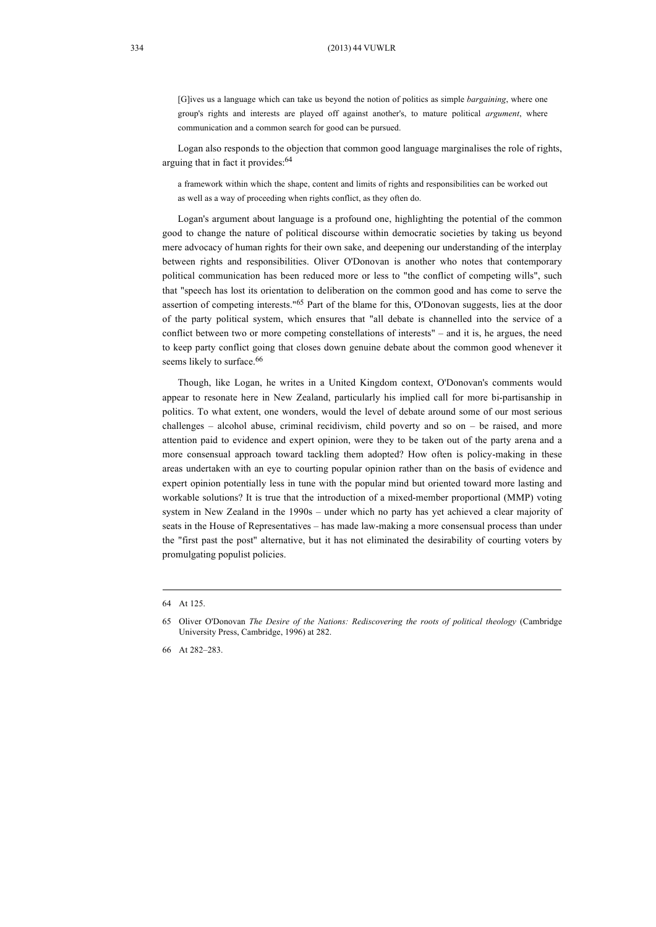[G]ives us a language which can take us beyond the notion of politics as simple *bargaining*, where one group's rights and interests are played off against another's, to mature political *argument*, where communication and a common search for good can be pursued.

Logan also responds to the objection that common good language marginalises the role of rights, arguing that in fact it provides: 64

a framework within which the shape, content and limits of rights and responsibilities can be worked out as well as a way of proceeding when rights conflict, as they often do.

Logan's argument about language is a profound one, highlighting the potential of the common good to change the nature of political discourse within democratic societies by taking us beyond mere advocacy of human rights for their own sake, and deepening our understanding of the interplay between rights and responsibilities. Oliver O'Donovan is another who notes that contemporary political communication has been reduced more or less to "the conflict of competing wills", such that "speech has lost its orientation to deliberation on the common good and has come to serve the assertion of competing interests."65 Part of the blame for this, O'Donovan suggests, lies at the door of the party political system, which ensures that "all debate is channelled into the service of a conflict between two or more competing constellations of interests" – and it is, he argues, the need to keep party conflict going that closes down genuine debate about the common good whenever it seems likely to surface.<sup>66</sup>

Though, like Logan, he writes in a United Kingdom context, O'Donovan's comments would appear to resonate here in New Zealand, particularly his implied call for more bi-partisanship in politics. To what extent, one wonders, would the level of debate around some of our most serious challenges – alcohol abuse, criminal recidivism, child poverty and so on – be raised, and more attention paid to evidence and expert opinion, were they to be taken out of the party arena and a more consensual approach toward tackling them adopted? How often is policy-making in these areas undertaken with an eye to courting popular opinion rather than on the basis of evidence and expert opinion potentially less in tune with the popular mind but oriented toward more lasting and workable solutions? It is true that the introduction of a mixed-member proportional (MMP) voting system in New Zealand in the 1990s – under which no party has yet achieved a clear majority of seats in the House of Representatives – has made law-making a more consensual process than under the "first past the post" alternative, but it has not eliminated the desirability of courting voters by promulgating populist policies.

<sup>64</sup> At 125.

<sup>65</sup> Oliver O'Donovan *The Desire of the Nations: Rediscovering the roots of political theology* (Cambridge University Press, Cambridge, 1996) at 282.

<sup>66</sup> At 282–283.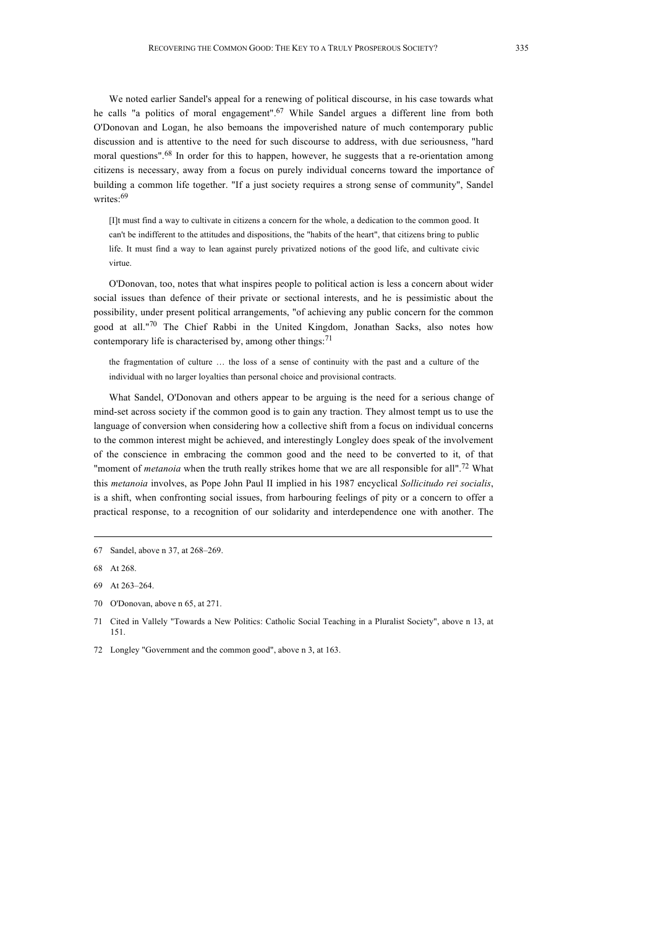We noted earlier Sandel's appeal for a renewing of political discourse, in his case towards what he calls "a politics of moral engagement".<sup>67</sup> While Sandel argues a different line from both O'Donovan and Logan, he also bemoans the impoverished nature of much contemporary public discussion and is attentive to the need for such discourse to address, with due seriousness, "hard moral questions".<sup>68</sup> In order for this to happen, however, he suggests that a re-orientation among citizens is necessary, away from a focus on purely individual concerns toward the importance of building a common life together. "If a just society requires a strong sense of community", Sandel writes: 69

[I]t must find a way to cultivate in citizens a concern for the whole, a dedication to the common good. It can't be indifferent to the attitudes and dispositions, the "habits of the heart", that citizens bring to public life. It must find a way to lean against purely privatized notions of the good life, and cultivate civic virtue.

O'Donovan, too, notes that what inspires people to political action is less a concern about wider social issues than defence of their private or sectional interests, and he is pessimistic about the possibility, under present political arrangements, "of achieving any public concern for the common good at all."70 The Chief Rabbi in the United Kingdom, Jonathan Sacks, also notes how contemporary life is characterised by, among other things: $71$ 

the fragmentation of culture … the loss of a sense of continuity with the past and a culture of the individual with no larger loyalties than personal choice and provisional contracts.

What Sandel, O'Donovan and others appear to be arguing is the need for a serious change of mind-set across society if the common good is to gain any traction. They almost tempt us to use the language of conversion when considering how a collective shift from a focus on individual concerns to the common interest might be achieved, and interestingly Longley does speak of the involvement of the conscience in embracing the common good and the need to be converted to it, of that "moment of *metanoia* when the truth really strikes home that we are all responsible for all".<sup>72</sup> What this *metanoia* involves, as Pope John Paul II implied in his 1987 encyclical *Sollicitudo rei socialis*, is a shift, when confronting social issues, from harbouring feelings of pity or a concern to offer a practical response, to a recognition of our solidarity and interdependence one with another. The

<sup>67</sup> Sandel, above n 37, at 268–269.

<sup>68</sup> At 268.

<sup>69</sup> At 263–264.

<sup>70</sup> O'Donovan, above n 65, at 271.

<sup>71</sup> Cited in Vallely "Towards a New Politics: Catholic Social Teaching in a Pluralist Society", above n 13, at 151.

<sup>72</sup> Longley "Government and the common good", above n 3, at 163.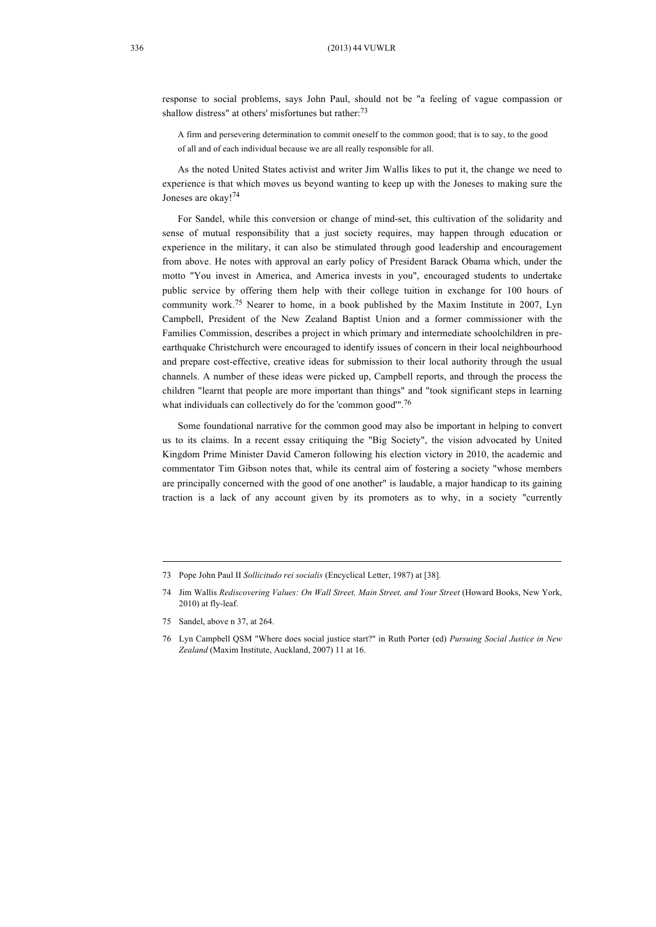response to social problems, says John Paul, should not be "a feeling of vague compassion or shallow distress" at others' misfortunes but rather:<sup>73</sup>

A firm and persevering determination to commit oneself to the common good; that is to say, to the good of all and of each individual because we are all really responsible for all.

As the noted United States activist and writer Jim Wallis likes to put it, the change we need to experience is that which moves us beyond wanting to keep up with the Joneses to making sure the Joneses are okay!74

For Sandel, while this conversion or change of mind-set, this cultivation of the solidarity and sense of mutual responsibility that a just society requires, may happen through education or experience in the military, it can also be stimulated through good leadership and encouragement from above. He notes with approval an early policy of President Barack Obama which, under the motto "You invest in America, and America invests in you", encouraged students to undertake public service by offering them help with their college tuition in exchange for 100 hours of community work.<sup>75</sup> Nearer to home, in a book published by the Maxim Institute in 2007, Lyn Campbell, President of the New Zealand Baptist Union and a former commissioner with the Families Commission, describes a project in which primary and intermediate schoolchildren in preearthquake Christchurch were encouraged to identify issues of concern in their local neighbourhood and prepare cost-effective, creative ideas for submission to their local authority through the usual channels. A number of these ideas were picked up, Campbell reports, and through the process the children "learnt that people are more important than things" and "took significant steps in learning what individuals can collectively do for the 'common good".<sup>76</sup>

Some foundational narrative for the common good may also be important in helping to convert us to its claims. In a recent essay critiquing the "Big Society", the vision advocated by United Kingdom Prime Minister David Cameron following his election victory in 2010, the academic and commentator Tim Gibson notes that, while its central aim of fostering a society "whose members are principally concerned with the good of one another" is laudable, a major handicap to its gaining traction is a lack of any account given by its promoters as to why, in a society "currently

<sup>73</sup> Pope John Paul II *Sollicitudo rei socialis* (Encyclical Letter, 1987) at [38].

<sup>74</sup> Jim Wallis *Rediscovering Values: On Wall Street, Main Street, and Your Street* (Howard Books, New York, 2010) at fly-leaf.

<sup>75</sup> Sandel, above n 37, at 264.

<sup>76</sup> Lyn Campbell QSM "Where does social justice start?" in Ruth Porter (ed) *Pursuing Social Justice in New Zealand* (Maxim Institute, Auckland, 2007) 11 at 16.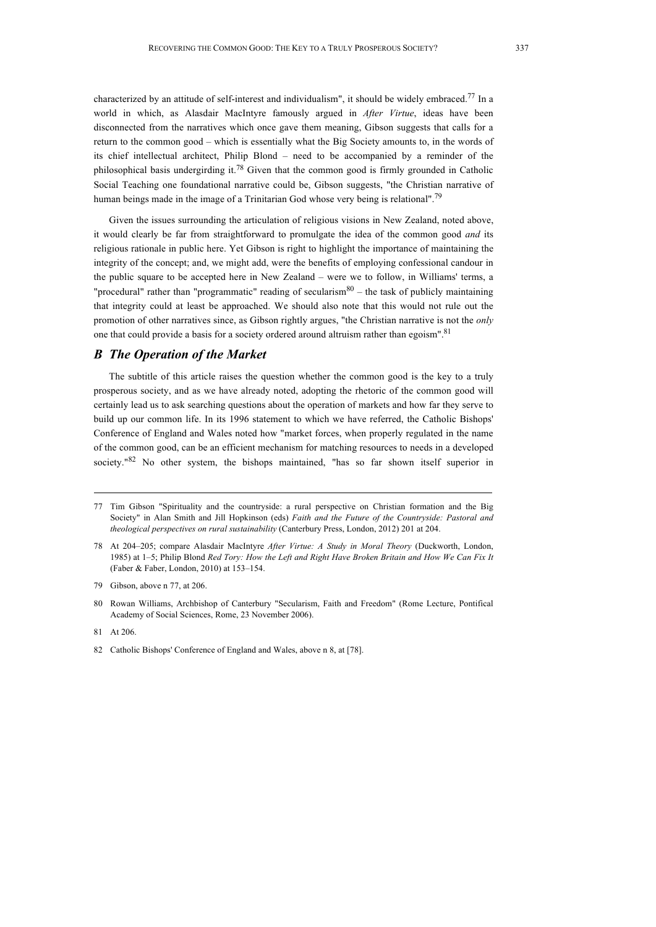characterized by an attitude of self-interest and individualism", it should be widely embraced.77 In a world in which, as Alasdair MacIntyre famously argued in *After Virtue*, ideas have been disconnected from the narratives which once gave them meaning, Gibson suggests that calls for a return to the common good – which is essentially what the Big Society amounts to, in the words of its chief intellectual architect, Philip Blond – need to be accompanied by a reminder of the philosophical basis undergirding it.<sup>78</sup> Given that the common good is firmly grounded in Catholic Social Teaching one foundational narrative could be, Gibson suggests, "the Christian narrative of human beings made in the image of a Trinitarian God whose very being is relational".<sup>79</sup>

Given the issues surrounding the articulation of religious visions in New Zealand, noted above, it would clearly be far from straightforward to promulgate the idea of the common good *and* its religious rationale in public here. Yet Gibson is right to highlight the importance of maintaining the integrity of the concept; and, we might add, were the benefits of employing confessional candour in the public square to be accepted here in New Zealand – were we to follow, in Williams' terms, a "procedural" rather than "programmatic" reading of secularism $80$  – the task of publicly maintaining that integrity could at least be approached. We should also note that this would not rule out the promotion of other narratives since, as Gibson rightly argues, "the Christian narrative is not the *only*  one that could provide a basis for a society ordered around altruism rather than egoism".<sup>81</sup>

# *B The Operation of the Market*

The subtitle of this article raises the question whether the common good is the key to a truly prosperous society, and as we have already noted, adopting the rhetoric of the common good will certainly lead us to ask searching questions about the operation of markets and how far they serve to build up our common life. In its 1996 statement to which we have referred, the Catholic Bishops' Conference of England and Wales noted how "market forces, when properly regulated in the name of the common good, can be an efficient mechanism for matching resources to needs in a developed society. $182$  No other system, the bishops maintained, "has so far shown itself superior in

<sup>77</sup> Tim Gibson "Spirituality and the countryside: a rural perspective on Christian formation and the Big Society" in Alan Smith and Jill Hopkinson (eds) *Faith and the Future of the Countryside: Pastoral and theological perspectives on rural sustainability* (Canterbury Press, London, 2012) 201 at 204.

<sup>78</sup> At 204–205; compare Alasdair MacIntyre *After Virtue: A Study in Moral Theory* (Duckworth, London, 1985) at 1–5; Philip Blond *Red Tory: How the Left and Right Have Broken Britain and How We Can Fix It* (Faber & Faber, London, 2010) at 153–154.

<sup>79</sup> Gibson, above n 77, at 206.

<sup>80</sup> Rowan Williams, Archbishop of Canterbury "Secularism, Faith and Freedom" (Rome Lecture, Pontifical Academy of Social Sciences, Rome, 23 November 2006).

<sup>81</sup> At 206.

<sup>82</sup> Catholic Bishops' Conference of England and Wales, above n 8, at [78].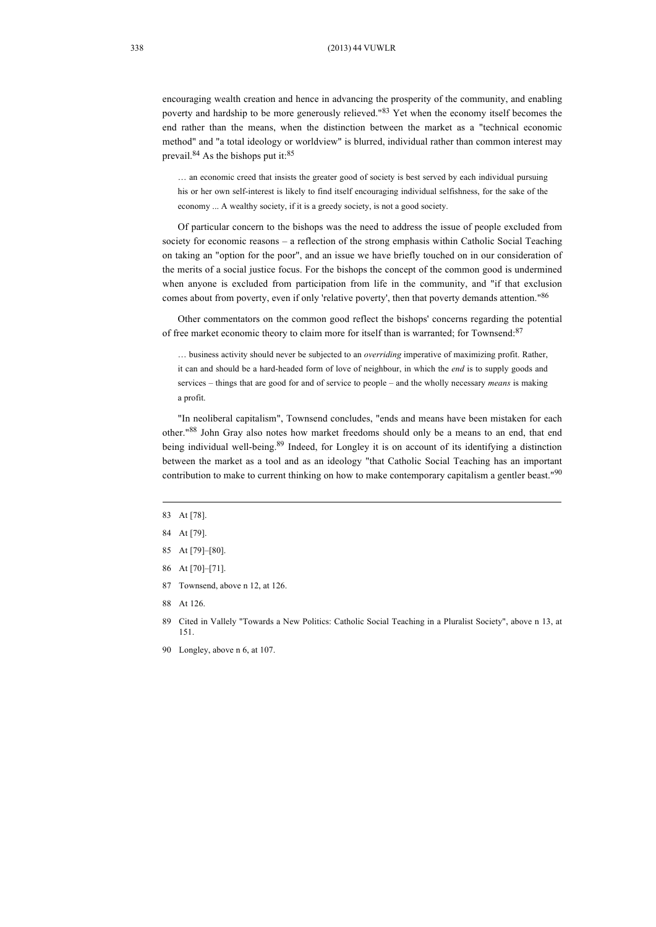encouraging wealth creation and hence in advancing the prosperity of the community, and enabling poverty and hardship to be more generously relieved."<sup>83</sup> Yet when the economy itself becomes the end rather than the means, when the distinction between the market as a "technical economic method" and "a total ideology or worldview" is blurred, individual rather than common interest may prevail.<sup>84</sup> As the bishops put it: $85$ 

… an economic creed that insists the greater good of society is best served by each individual pursuing his or her own self-interest is likely to find itself encouraging individual selfishness, for the sake of the economy ... A wealthy society, if it is a greedy society, is not a good society.

Of particular concern to the bishops was the need to address the issue of people excluded from society for economic reasons – a reflection of the strong emphasis within Catholic Social Teaching on taking an "option for the poor", and an issue we have briefly touched on in our consideration of the merits of a social justice focus. For the bishops the concept of the common good is undermined when anyone is excluded from participation from life in the community, and "if that exclusion comes about from poverty, even if only 'relative poverty', then that poverty demands attention."<sup>86</sup>

Other commentators on the common good reflect the bishops' concerns regarding the potential of free market economic theory to claim more for itself than is warranted; for Townsend: 87

… business activity should never be subjected to an *overriding* imperative of maximizing profit. Rather, it can and should be a hard-headed form of love of neighbour, in which the *end* is to supply goods and services – things that are good for and of service to people – and the wholly necessary *means* is making a profit.

"In neoliberal capitalism", Townsend concludes, "ends and means have been mistaken for each other."88 John Gray also notes how market freedoms should only be a means to an end, that end being individual well-being.<sup>89</sup> Indeed, for Longley it is on account of its identifying a distinction between the market as a tool and as an ideology "that Catholic Social Teaching has an important contribution to make to current thinking on how to make contemporary capitalism a gentler beast."<sup>90</sup>

- 85 At [79]–[80].
- 86 At [70]–[71].
- 87 Townsend, above n 12, at 126.
- 88 At 126.

89 Cited in Vallely "Towards a New Politics: Catholic Social Teaching in a Pluralist Society", above n 13, at 151.

90 Longley, above n 6, at 107.

<sup>83</sup> At [78].

<sup>84</sup> At [79].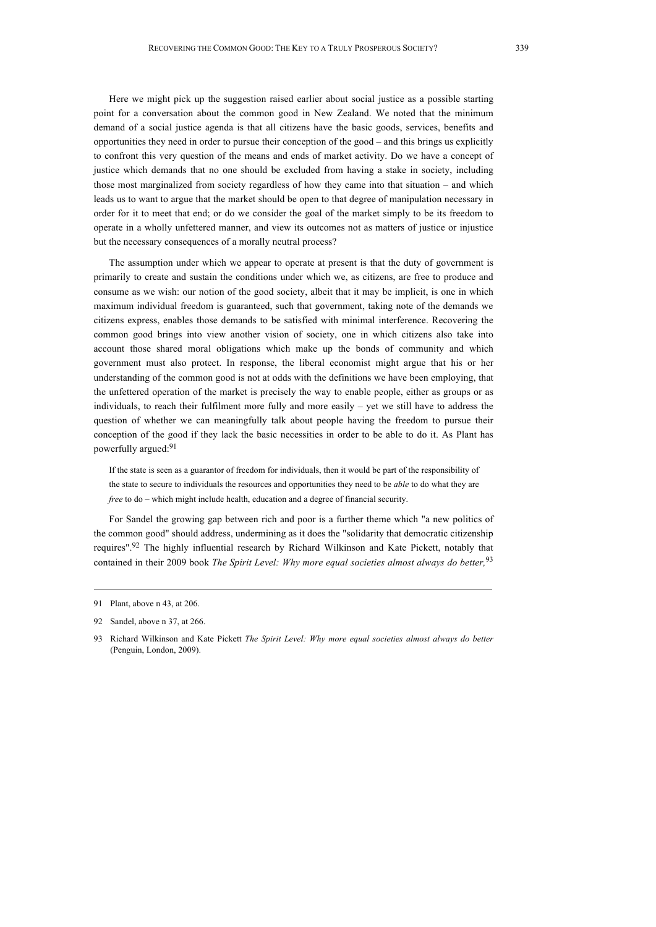Here we might pick up the suggestion raised earlier about social justice as a possible starting point for a conversation about the common good in New Zealand. We noted that the minimum demand of a social justice agenda is that all citizens have the basic goods, services, benefits and opportunities they need in order to pursue their conception of the good – and this brings us explicitly to confront this very question of the means and ends of market activity. Do we have a concept of justice which demands that no one should be excluded from having a stake in society, including those most marginalized from society regardless of how they came into that situation – and which leads us to want to argue that the market should be open to that degree of manipulation necessary in order for it to meet that end; or do we consider the goal of the market simply to be its freedom to operate in a wholly unfettered manner, and view its outcomes not as matters of justice or injustice but the necessary consequences of a morally neutral process?

The assumption under which we appear to operate at present is that the duty of government is primarily to create and sustain the conditions under which we, as citizens, are free to produce and consume as we wish: our notion of the good society, albeit that it may be implicit, is one in which maximum individual freedom is guaranteed, such that government, taking note of the demands we citizens express, enables those demands to be satisfied with minimal interference. Recovering the common good brings into view another vision of society, one in which citizens also take into account those shared moral obligations which make up the bonds of community and which government must also protect. In response, the liberal economist might argue that his or her understanding of the common good is not at odds with the definitions we have been employing, that the unfettered operation of the market is precisely the way to enable people, either as groups or as individuals, to reach their fulfilment more fully and more easily  $-$  yet we still have to address the question of whether we can meaningfully talk about people having the freedom to pursue their conception of the good if they lack the basic necessities in order to be able to do it. As Plant has powerfully argued:<sup>91</sup>

If the state is seen as a guarantor of freedom for individuals, then it would be part of the responsibility of the state to secure to individuals the resources and opportunities they need to be *able* to do what they are *free* to do – which might include health, education and a degree of financial security.

For Sandel the growing gap between rich and poor is a further theme which "a new politics of the common good" should address, undermining as it does the "solidarity that democratic citizenship requires".<sup>92</sup> The highly influential research by Richard Wilkinson and Kate Pickett, notably that contained in their 2009 book *The Spirit Level: Why more equal societies almost always do better,*<sup>93</sup>

<sup>91</sup> Plant, above n 43, at 206.

<sup>92</sup> Sandel, above n 37, at 266.

<sup>93</sup> Richard Wilkinson and Kate Pickett *The Spirit Level: Why more equal societies almost always do better* (Penguin, London, 2009).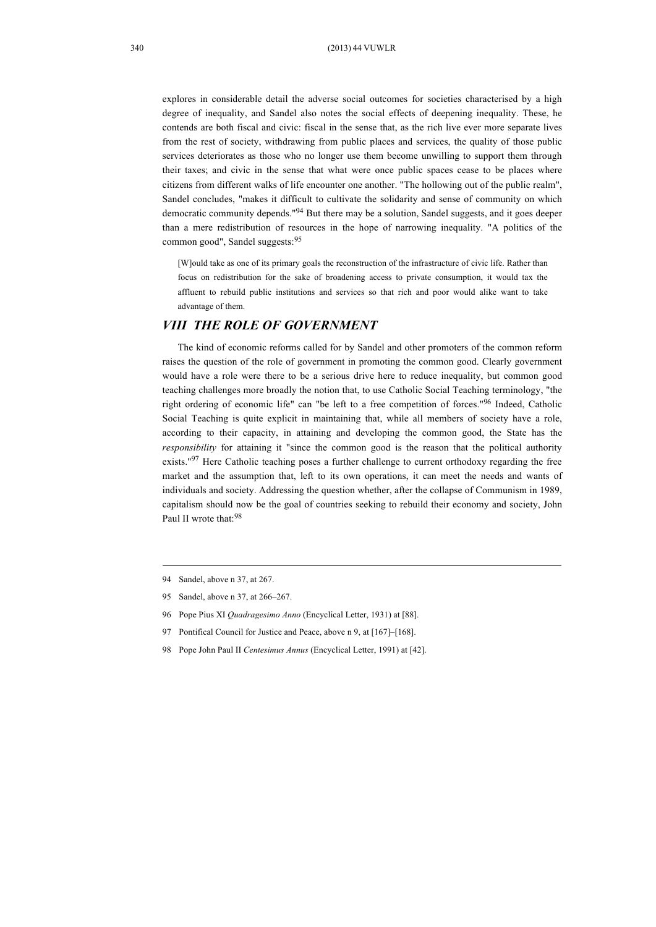explores in considerable detail the adverse social outcomes for societies characterised by a high degree of inequality, and Sandel also notes the social effects of deepening inequality. These, he contends are both fiscal and civic: fiscal in the sense that, as the rich live ever more separate lives from the rest of society, withdrawing from public places and services, the quality of those public services deteriorates as those who no longer use them become unwilling to support them through their taxes; and civic in the sense that what were once public spaces cease to be places where citizens from different walks of life encounter one another. "The hollowing out of the public realm", Sandel concludes, "makes it difficult to cultivate the solidarity and sense of community on which democratic community depends."94 But there may be a solution, Sandel suggests, and it goes deeper than a mere redistribution of resources in the hope of narrowing inequality. "A politics of the common good", Sandel suggests: 95

[W]ould take as one of its primary goals the reconstruction of the infrastructure of civic life. Rather than focus on redistribution for the sake of broadening access to private consumption, it would tax the affluent to rebuild public institutions and services so that rich and poor would alike want to take advantage of them.

## *VIII THE ROLE OF GOVERNMENT*

The kind of economic reforms called for by Sandel and other promoters of the common reform raises the question of the role of government in promoting the common good. Clearly government would have a role were there to be a serious drive here to reduce inequality, but common good teaching challenges more broadly the notion that, to use Catholic Social Teaching terminology, "the right ordering of economic life" can "be left to a free competition of forces."96 Indeed, Catholic Social Teaching is quite explicit in maintaining that, while all members of society have a role, according to their capacity, in attaining and developing the common good, the State has the *responsibility* for attaining it "since the common good is the reason that the political authority exists."<sup>97</sup> Here Catholic teaching poses a further challenge to current orthodoxy regarding the free market and the assumption that, left to its own operations, it can meet the needs and wants of individuals and society. Addressing the question whether, after the collapse of Communism in 1989, capitalism should now be the goal of countries seeking to rebuild their economy and society, John Paul II wrote that:<sup>98</sup>

98 Pope John Paul II *Centesimus Annus* (Encyclical Letter, 1991) at [42].

<sup>94</sup> Sandel, above n 37, at 267.

<sup>95</sup> Sandel, above n 37, at 266–267.

<sup>96</sup> Pope Pius XI *Quadragesimo Anno* (Encyclical Letter, 1931) at [88].

<sup>97</sup> Pontifical Council for Justice and Peace, above n 9, at [167]–[168].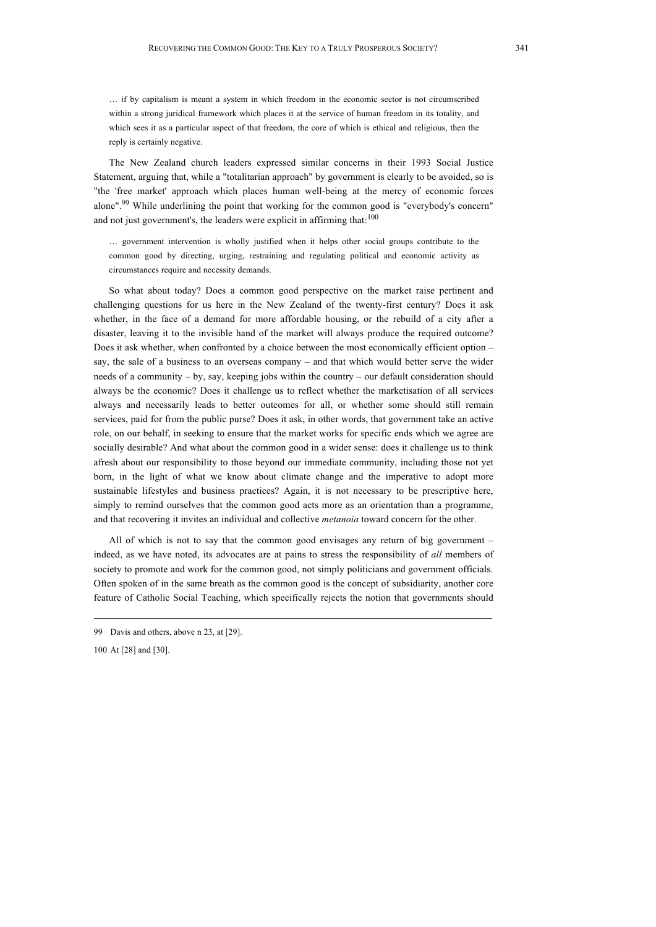… if by capitalism is meant a system in which freedom in the economic sector is not circumscribed within a strong juridical framework which places it at the service of human freedom in its totality, and which sees it as a particular aspect of that freedom, the core of which is ethical and religious, then the reply is certainly negative.

The New Zealand church leaders expressed similar concerns in their 1993 Social Justice Statement, arguing that, while a "totalitarian approach" by government is clearly to be avoided, so is "the 'free market' approach which places human well-being at the mercy of economic forces alone".<sup>99</sup> While underlining the point that working for the common good is "everybody's concern" and not just government's, the leaders were explicit in affirming that:  $100$ 

… government intervention is wholly justified when it helps other social groups contribute to the common good by directing, urging, restraining and regulating political and economic activity as circumstances require and necessity demands.

So what about today? Does a common good perspective on the market raise pertinent and challenging questions for us here in the New Zealand of the twenty-first century? Does it ask whether, in the face of a demand for more affordable housing, or the rebuild of a city after a disaster, leaving it to the invisible hand of the market will always produce the required outcome? Does it ask whether, when confronted by a choice between the most economically efficient option – say, the sale of a business to an overseas company – and that which would better serve the wider needs of a community – by, say, keeping jobs within the country – our default consideration should always be the economic? Does it challenge us to reflect whether the marketisation of all services always and necessarily leads to better outcomes for all, or whether some should still remain services, paid for from the public purse? Does it ask, in other words, that government take an active role, on our behalf, in seeking to ensure that the market works for specific ends which we agree are socially desirable? And what about the common good in a wider sense: does it challenge us to think afresh about our responsibility to those beyond our immediate community, including those not yet born, in the light of what we know about climate change and the imperative to adopt more sustainable lifestyles and business practices? Again, it is not necessary to be prescriptive here, simply to remind ourselves that the common good acts more as an orientation than a programme, and that recovering it invites an individual and collective *metanoia* toward concern for the other.

All of which is not to say that the common good envisages any return of big government – indeed, as we have noted, its advocates are at pains to stress the responsibility of *all* members of society to promote and work for the common good, not simply politicians and government officials. Often spoken of in the same breath as the common good is the concept of subsidiarity, another core feature of Catholic Social Teaching, which specifically rejects the notion that governments should

<sup>99</sup> Davis and others, above n 23, at [29].

<sup>100</sup> At [28] and [30].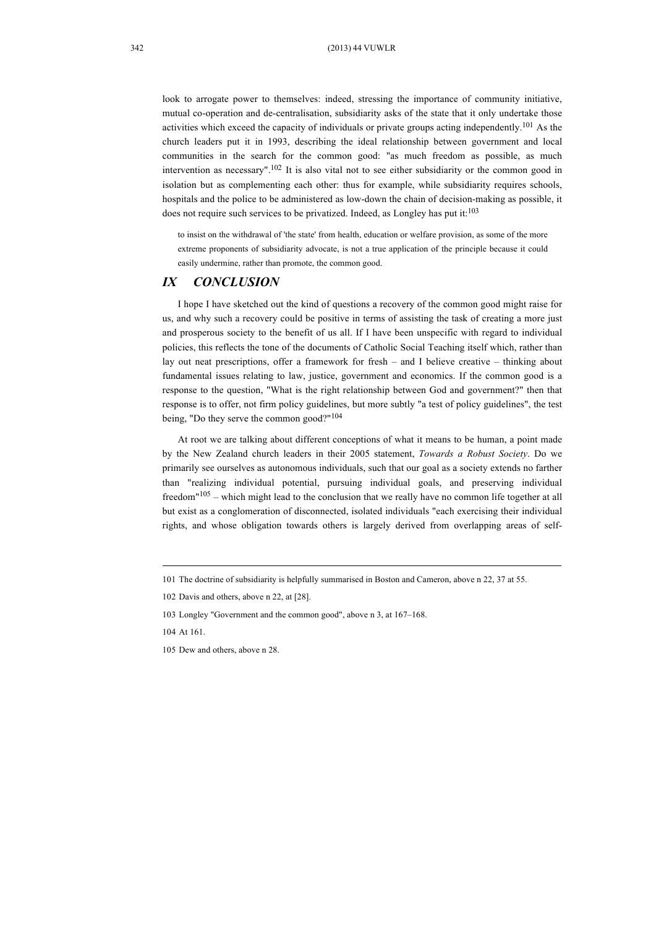look to arrogate power to themselves: indeed, stressing the importance of community initiative, mutual co-operation and de-centralisation, subsidiarity asks of the state that it only undertake those activities which exceed the capacity of individuals or private groups acting independently.101 As the church leaders put it in 1993, describing the ideal relationship between government and local communities in the search for the common good: "as much freedom as possible, as much intervention as necessary". 102 It is also vital not to see either subsidiarity or the common good in isolation but as complementing each other: thus for example, while subsidiarity requires schools, hospitals and the police to be administered as low-down the chain of decision-making as possible, it does not require such services to be privatized. Indeed, as Longley has put it:<sup>103</sup>

to insist on the withdrawal of 'the state' from health, education or welfare provision, as some of the more extreme proponents of subsidiarity advocate, is not a true application of the principle because it could easily undermine, rather than promote, the common good.

## *IX CONCLUSION*

I hope I have sketched out the kind of questions a recovery of the common good might raise for us, and why such a recovery could be positive in terms of assisting the task of creating a more just and prosperous society to the benefit of us all. If I have been unspecific with regard to individual policies, this reflects the tone of the documents of Catholic Social Teaching itself which, rather than lay out neat prescriptions, offer a framework for fresh – and I believe creative – thinking about fundamental issues relating to law, justice, government and economics. If the common good is a response to the question, "What is the right relationship between God and government?" then that response is to offer, not firm policy guidelines, but more subtly "a test of policy guidelines", the test being, "Do they serve the common good?"<sup>104</sup>

At root we are talking about different conceptions of what it means to be human, a point made by the New Zealand church leaders in their 2005 statement, *Towards a Robust Society*. Do we primarily see ourselves as autonomous individuals, such that our goal as a society extends no farther than "realizing individual potential, pursuing individual goals, and preserving individual freedom"105 – which might lead to the conclusion that we really have no common life together at all but exist as a conglomeration of disconnected, isolated individuals "each exercising their individual rights, and whose obligation towards others is largely derived from overlapping areas of self-

<sup>101</sup> The doctrine of subsidiarity is helpfully summarised in Boston and Cameron, above n 22, 37 at 55.

<sup>102</sup> Davis and others, above n 22, at [28].

<sup>103</sup> Longley "Government and the common good", above n 3, at 167–168.

<sup>104</sup> At 161.

<sup>105</sup> Dew and others, above n 28.